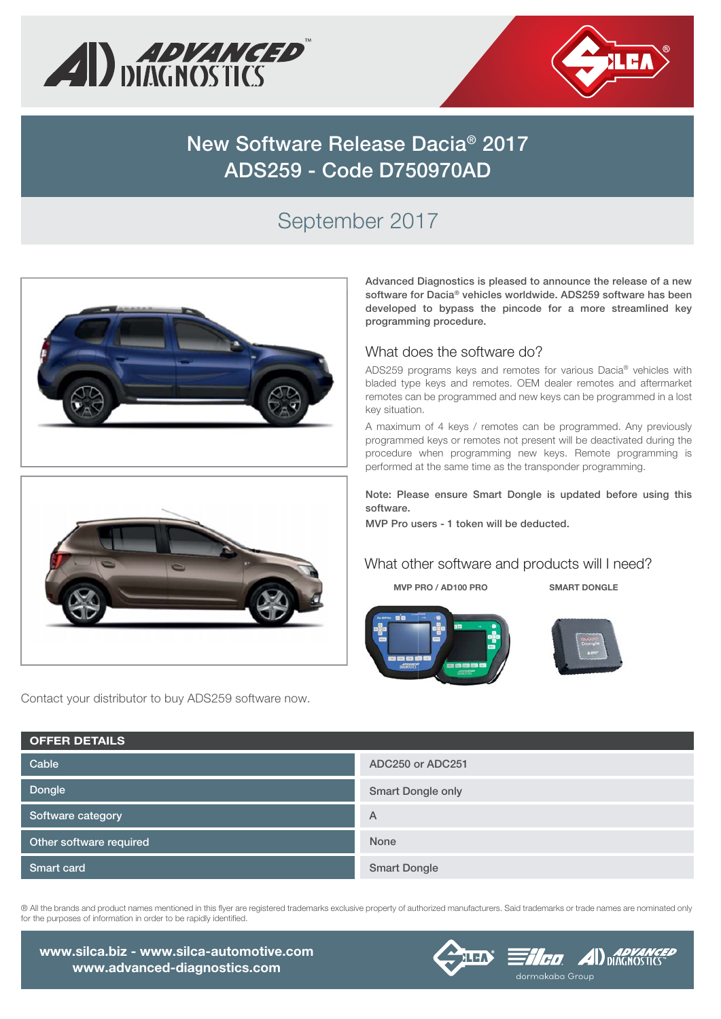



# **New Software Release Dacia® 2017 ADS259 - Code D750970AD**

## September 2017





Contact your distributor to buy ADS259 software now.

**Advanced Diagnostics is pleased to announce the release of a new software for Dacia® vehicles worldwide. ADS259 software has been developed to bypass the pincode for a more streamlined key programming procedure.**

### What does the software do?

ADS259 programs keys and remotes for various Dacia® vehicles with bladed type keys and remotes. OEM dealer remotes and aftermarket remotes can be programmed and new keys can be programmed in a lost key situation.

A maximum of 4 keys / remotes can be programmed. Any previously programmed keys or remotes not present will be deactivated during the procedure when programming new keys. Remote programming is performed at the same time as the transponder programming.

**Note: Please ensure Smart Dongle is updated before using this software.** 

**MVP Pro users - 1 token will be deducted.**

#### What other software and products will I need?

**MVP PRO / AD100 PRO SMART DONGLE**





| <b>OFFER DETAILS</b>    |                          |
|-------------------------|--------------------------|
| Cable                   | ADC250 or ADC251         |
| Dongle                  | <b>Smart Dongle only</b> |
| Software category       | A                        |
| Other software required | None                     |
| Smart card              | <b>Smart Dongle</b>      |

® All the brands and product names mentioned in this flyer are registered trademarks exclusive property of authorized manufacturers. Said trademarks or trade names are nominated only for the purposes of information in order to be rapidly identified.

**www.silca.biz - www.silca-automotive.com www.advanced-diagnostics.com**